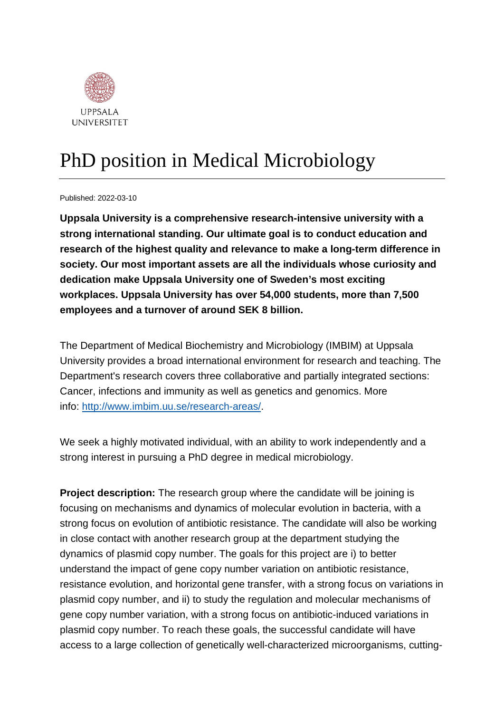

## PhD position in Medical Microbiology

Published: 2022-03-10

**Uppsala University is a comprehensive research-intensive university with a strong international standing. Our ultimate goal is to conduct education and research of the highest quality and relevance to make a long-term difference in society. Our most important assets are all the individuals whose curiosity and dedication make Uppsala University one of Sweden's most exciting workplaces. Uppsala University has over 54,000 students, more than 7,500 employees and a turnover of around SEK 8 billion.**

The Department of Medical Biochemistry and Microbiology (IMBIM) at Uppsala University provides a broad international environment for research and teaching. The Department's research covers three collaborative and partially integrated sections: Cancer, infections and immunity as well as genetics and genomics. More info: [http://www.imbim.uu.se/research-areas/.](http://www.imbim.uu.se/research-areas/)

We seek a highly motivated individual, with an ability to work independently and a strong interest in pursuing a PhD degree in medical microbiology.

**Project description:** The research group where the candidate will be joining is focusing on mechanisms and dynamics of molecular evolution in bacteria, with a strong focus on evolution of antibiotic resistance. The candidate will also be working in close contact with another research group at the department studying the dynamics of plasmid copy number. The goals for this project are i) to better understand the impact of gene copy number variation on antibiotic resistance, resistance evolution, and horizontal gene transfer, with a strong focus on variations in plasmid copy number, and ii) to study the regulation and molecular mechanisms of gene copy number variation, with a strong focus on antibiotic-induced variations in plasmid copy number. To reach these goals, the successful candidate will have access to a large collection of genetically well-characterized microorganisms, cutting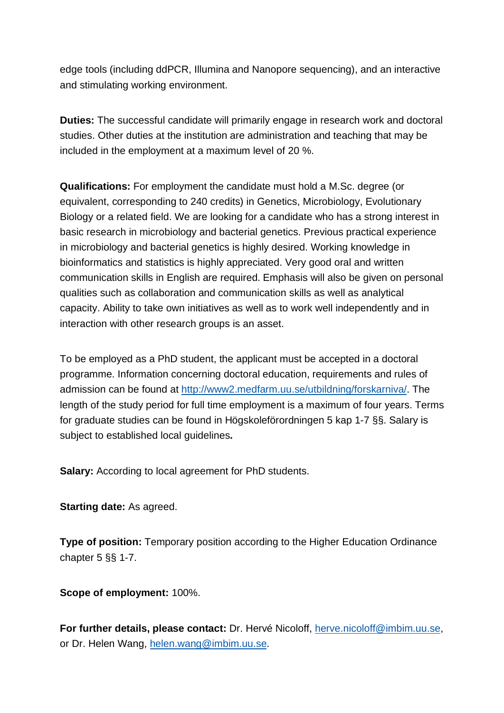edge tools (including ddPCR, Illumina and Nanopore sequencing), and an interactive and stimulating working environment.

**Duties:** The successful candidate will primarily engage in research work and doctoral studies. Other duties at the institution are administration and teaching that may be included in the employment at a maximum level of 20 %.

**Qualifications:** For employment the candidate must hold a M.Sc. degree (or equivalent, corresponding to 240 credits) in Genetics, Microbiology, Evolutionary Biology or a related field. We are looking for a candidate who has a strong interest in basic research in microbiology and bacterial genetics. Previous practical experience in microbiology and bacterial genetics is highly desired. Working knowledge in bioinformatics and statistics is highly appreciated. Very good oral and written communication skills in English are required. Emphasis will also be given on personal qualities such as collaboration and communication skills as well as analytical capacity. Ability to take own initiatives as well as to work well independently and in interaction with other research groups is an asset.

To be employed as a PhD student, the applicant must be accepted in a doctoral programme. Information concerning doctoral education, requirements and rules of admission can be found at [http://www2.medfarm.uu.se/utbildning/forskarniva/.](http://www2.medfarm.uu.se/utbildning/forskarniva/) The length of the study period for full time employment is a maximum of four years. Terms for graduate studies can be found in Högskoleförordningen 5 kap 1-7 §§. Salary is subject to established local guidelines**.**

**Salary:** According to local agreement for PhD students.

**Starting date:** As agreed.

**Type of position:** Temporary position according to the Higher Education Ordinance chapter 5 §§ 1-7.

**Scope of employment:** 100%.

**For further details, please contact:** Dr. Hervé Nicoloff, [herve.nicoloff@imbim.uu.se,](mailto:herve.nicoloff@imbim.uu.se) or Dr. Helen Wang, [helen.wang@imbim.uu.se.](mailto:helen.wang@imbim.uu.se)